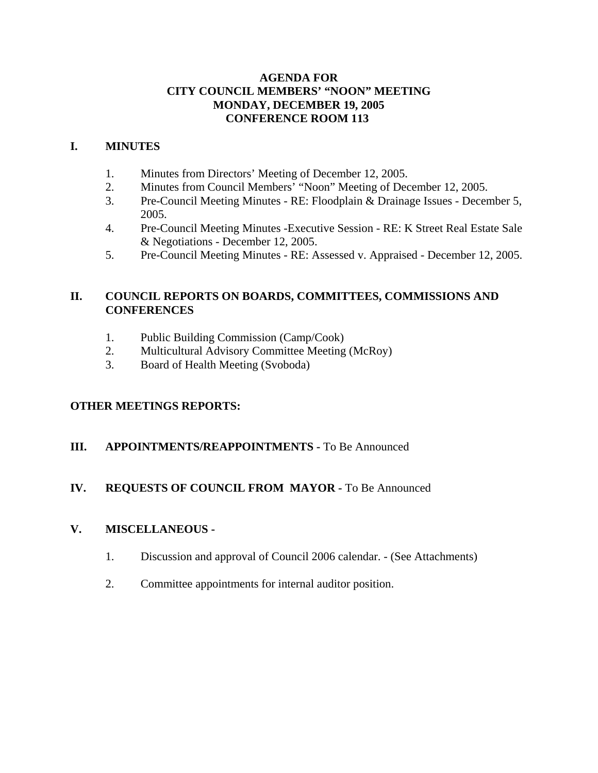#### **AGENDA FOR CITY COUNCIL MEMBERS' "NOON" MEETING MONDAY, DECEMBER 19, 2005 CONFERENCE ROOM 113**

#### **I. MINUTES**

- 1. Minutes from Directors' Meeting of December 12, 2005.
- 2. Minutes from Council Members' "Noon" Meeting of December 12, 2005.
- 3. Pre-Council Meeting Minutes RE: Floodplain & Drainage Issues December 5, 2005.
- 4. Pre-Council Meeting Minutes -Executive Session RE: K Street Real Estate Sale & Negotiations - December 12, 2005.
- 5. Pre-Council Meeting Minutes RE: Assessed v. Appraised December 12, 2005.

#### **II. COUNCIL REPORTS ON BOARDS, COMMITTEES, COMMISSIONS AND CONFERENCES**

- 1. Public Building Commission (Camp/Cook)
- 2. Multicultural Advisory Committee Meeting (McRoy)
- 3. Board of Health Meeting (Svoboda)

#### **OTHER MEETINGS REPORTS:**

#### **III.** APPOINTMENTS/REAPPOINTMENTS - To Be Announced

#### **IV. REQUESTS OF COUNCIL FROM MAYOR -** To Be Announced

#### **V. MISCELLANEOUS -**

- 1. Discussion and approval of Council 2006 calendar. (See Attachments)
- 2. Committee appointments for internal auditor position.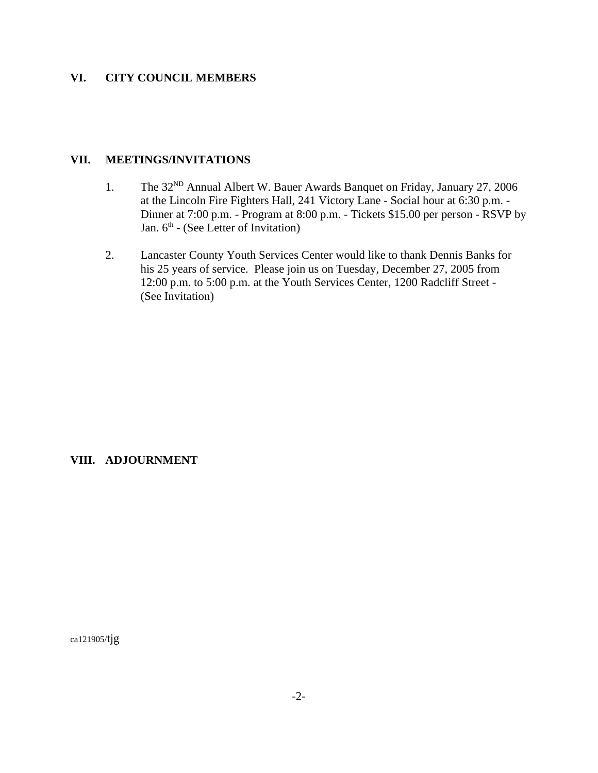#### **VI. CITY COUNCIL MEMBERS**

#### **VII. MEETINGS/INVITATIONS**

- 1. The 32<sup>ND</sup> Annual Albert W. Bauer Awards Banquet on Friday, January 27, 2006 at the Lincoln Fire Fighters Hall, 241 Victory Lane - Social hour at 6:30 p.m. - Dinner at 7:00 p.m. - Program at 8:00 p.m. - Tickets \$15.00 per person - RSVP by Jan.  $6<sup>th</sup>$  - (See Letter of Invitation)
- 2. Lancaster County Youth Services Center would like to thank Dennis Banks for his 25 years of service. Please join us on Tuesday, December 27, 2005 from 12:00 p.m. to 5:00 p.m. at the Youth Services Center, 1200 Radcliff Street - (See Invitation)

#### **VIII. ADJOURNMENT**

ca121905/tjg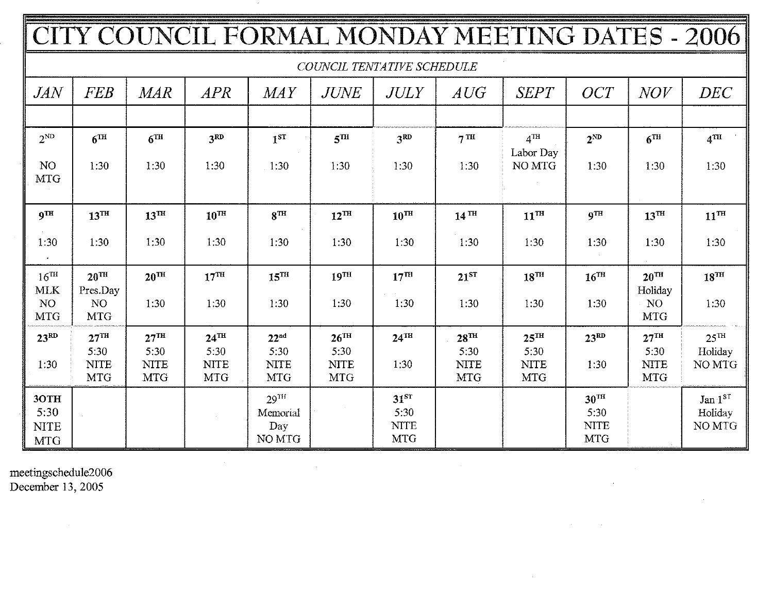|                                                                 |                                                              |                                                       |                                                         |                                                       |                                                         |                                                       |                                                       | CITY COUNCIL FORMAL MONDAY MEETING DATES - 2006       |                                                       |                                                             |                                       |
|-----------------------------------------------------------------|--------------------------------------------------------------|-------------------------------------------------------|---------------------------------------------------------|-------------------------------------------------------|---------------------------------------------------------|-------------------------------------------------------|-------------------------------------------------------|-------------------------------------------------------|-------------------------------------------------------|-------------------------------------------------------------|---------------------------------------|
|                                                                 |                                                              |                                                       |                                                         |                                                       |                                                         | COUNCIL TENTATIVE SCHEDULE                            |                                                       |                                                       |                                                       |                                                             |                                       |
| <b>JAN</b>                                                      | <b>FEB</b>                                                   | <b>MAR</b>                                            | <b>APR</b>                                              | MAY                                                   | <b>JUNE</b>                                             | <b>JULY</b>                                           | AUG                                                   | <b>SEPT</b>                                           | <b>OCT</b>                                            | <i>NOV</i>                                                  | DEC                                   |
| $2^{ND}$<br>N <sub>O</sub><br><b>MTG</b>                        | 6 <sup>TH</sup><br>1:30                                      | $6$ <sup>TH</sup><br>1:30                             | 3 <sup>RD</sup><br>1:30                                 | $i^{ST}$<br>1:30                                      | 5 <sup>TH</sup><br>1:30                                 | 3 <sup>RD</sup><br>1:30                               | 7 <sup>TH</sup><br>1:30                               | $4$ <sup>TH</sup><br>Labor Day<br>NO MTG              | $2^{ND}$<br>1:30                                      | 6 <sup>TH</sup><br>1:30                                     | $4$ TH<br>1:30                        |
| <b>9TH</b><br>1.30                                              | $13$ <sup>TH</sup><br>1:30                                   | $13^{\text{TH}}$<br>1:30                              | $10^{TH}$<br>1:30                                       | $8^{\text{TH}}$<br>1:30                               | $12^{\text{TH}}$<br>1:30                                | $10^{\text{TH}}$<br>1:30                              | $14$ <sup>TH</sup><br>1:30                            | $11^{\text{TH}}$<br>1:30                              | <b>gTH</b><br>1:30                                    | $13^{\text{TH}}$<br>1:30                                    | $11^{TH}$<br>1:30                     |
| $16^{\text{TH}}$<br><b>MLK</b><br>NO <sub>1</sub><br><b>MTG</b> | $20^{\text{TH}}$<br>Pres.Day<br>N <sub>O</sub><br><b>MTG</b> | $20^{\text{TH}}$<br>1:30                              | $17^{\text{TH}}$<br>1:30                                | $15^{\text{TH}}$<br>1:30                              | 19 <sup>TH</sup><br>1:30                                | $17^{\text{TH}}$<br>1:30                              | $21^{ST}$<br>1:30                                     | $18^{TH}$<br>1:30                                     | $16$ <sup>TH</sup><br>1:30                            | $20^{\text{TH}}$<br>Holiday<br>N <sub>O</sub><br><b>MTG</b> | $18^{TH}$<br>1:30                     |
| $23^{RD}$<br>1:30                                               | $27^{\text{TH}}$<br>5:30<br><b>NITE</b><br><b>MTG</b>        | $27^{\text{TH}}$<br>5:30<br><b>NITE</b><br><b>MTG</b> | $24$ <sup>TH</sup><br>5:30<br><b>NITE</b><br><b>MTG</b> | 22 <sup>nd</sup><br>5:30<br><b>NITE</b><br><b>MTG</b> | $26$ <sup>TH</sup><br>5:30<br><b>NITE</b><br><b>MTG</b> | $24$ <sup>TH</sup><br>1:30                            | $28^{\text{TH}}$<br>5:30<br><b>NITE</b><br><b>MTG</b> | $25^{\text{TH}}$<br>5:30<br><b>NITE</b><br><b>MTG</b> | 23 <sup>RD</sup><br>1:30                              | $27^{\text{TH}}$<br>5:30<br><b>NITE</b><br><b>MTG</b>       | $25^{\text{TH}}$<br>Holiday<br>NO MTG |
| 3OTH<br>5:30<br><b>NITE</b><br><b>MTG</b>                       |                                                              |                                                       |                                                         | $29$ <sup>TH</sup><br>Memorial<br>Day<br>NO MTG       |                                                         | 31 <sup>ST</sup><br>5:30<br><b>NITE</b><br><b>MTG</b> |                                                       |                                                       | $30^{\text{TH}}$<br>5:30<br><b>NITE</b><br><b>MTG</b> |                                                             | Jan $1ST$<br>Holiday<br>NO MTG        |

 $\mathcal{L}^{\text{max}}_{\text{max}}$ 

 $\sim 10^{-1}$ 

 $\epsilon$ 

 $\sim$   $\alpha$ 

meetingschedule2006<br>December 13, 2005

 $\sim 10^{-1}$ 

 $\sim$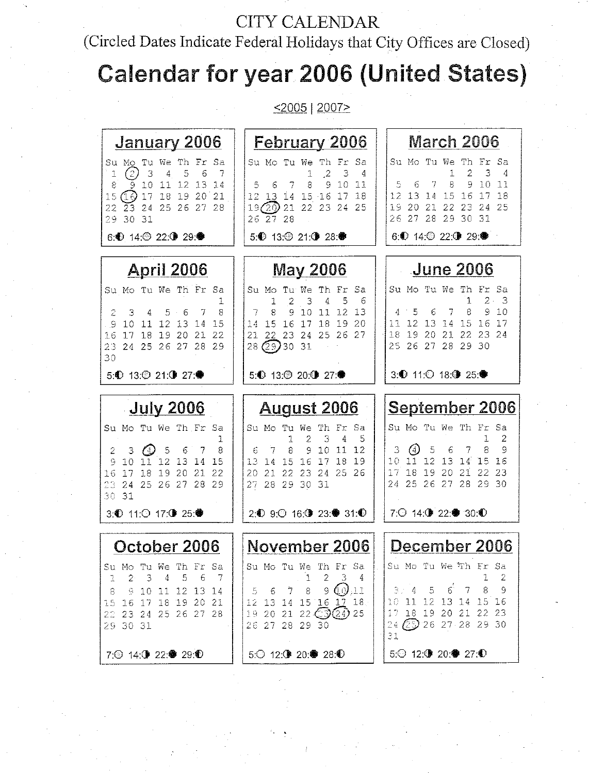## **CITY CALENDAR**

## (Circled Dates Indicate Federal Holidays that City Offices are Closed)

# **Calendar for year 2006 (United States)**

 $\leq 2005$  | 2007>

| January 2006                                                                                                                                                                                                                  | <b>February 2006</b>                                                                                                                                                                                                                                | March 2006                                                                                                                                                                                                                                  |
|-------------------------------------------------------------------------------------------------------------------------------------------------------------------------------------------------------------------------------|-----------------------------------------------------------------------------------------------------------------------------------------------------------------------------------------------------------------------------------------------------|---------------------------------------------------------------------------------------------------------------------------------------------------------------------------------------------------------------------------------------------|
| Su Mo Tu We Th Fr<br>-Sa<br>C)<br>6<br>3<br>4<br>5<br>7<br>1<br>9 10 11<br>12<br>8<br>-13<br>-14<br>$15(16)$ 17 18 19 20<br>-21<br>23 24 25 26 27 28<br>22.<br>29 30 31                                                       | Su Mo Tu We Th Fr<br>Sa<br>$\mathcal{L}$<br>3<br>1<br>4<br>10<br>8<br>9<br>5<br>7<br>11<br>13 14 15 16 17<br>12<br>18<br>19 (20) 21 22 23 24 25<br>26 27 28                                                                                         | Su Mo Tu We<br>Th<br>Fr<br>Sa<br>2<br>3<br>4<br>1<br>8<br>9<br>10<br>5<br>7<br>11<br>6<br>15 16<br>12<br>14<br>18<br>-13<br>17<br>19<br>20<br>21 22<br>-23<br>24<br>25<br>29 30 31<br>26.27<br>-28                                          |
| 6: 14: 22: ① 29: ●                                                                                                                                                                                                            | 5. 13: 21: 3 28: ●                                                                                                                                                                                                                                  | 6: 14: 22: 3 29: ●                                                                                                                                                                                                                          |
| <u>April 2006</u>                                                                                                                                                                                                             | <u>May 2006</u>                                                                                                                                                                                                                                     | <b>June 2006</b>                                                                                                                                                                                                                            |
| Su Mo Tu We Th Fr Sa<br>ı<br>8<br>5 <sub>o</sub><br>2<br>З<br>7<br>4<br>10 11 12 13<br>14<br>15<br>9<br>19<br>18<br>- 20<br>21<br>22<br>16<br>17<br>23 24 25 26 27 28 29<br>30                                                | Su Mo<br>Tu We<br>Тh<br>Fr<br>Sa<br>5<br>2<br>3<br>4<br>6<br>1<br>10<br>$\perp$<br>-12<br>8<br>9<br>13<br>16<br>17<br>20<br>14<br>15<br>18<br>19<br>21 22 23 24 25<br>26<br>-27<br>28 29 30 31                                                      | Su Mo Tu We<br>Sa<br>- Th<br>Fr<br>$\overline{2}$ .<br>1<br>З<br>8<br>5<br>7<br>9<br>-10<br>6<br>4<br>12 13 14<br>15<br>16<br>11.<br>17<br>19<br>20 21 22<br>18.<br>23<br>24<br>25 26 27 28 29 30                                           |
| 5: 13: 21: 12 27: ●                                                                                                                                                                                                           | 5: 13: 20: ① 27: ●                                                                                                                                                                                                                                  | 3: 11: ① 18: ③ 25: ●                                                                                                                                                                                                                        |
|                                                                                                                                                                                                                               |                                                                                                                                                                                                                                                     |                                                                                                                                                                                                                                             |
| <b>July 2006</b><br>Su Mo Tu We Th Fr Sa<br>ı<br>$\omega$ 5<br>6<br>2<br>3<br>7<br>8<br>11 12 13 14<br>10<br>15<br>G,<br>19<br>18<br>20<br>21<br>-17<br>22<br>16<br>23 24 25 26 27 28<br>29<br>30 31<br>3: ① 11:○ 17: ③ 25: ● | <u> August 2006</u><br>Τh<br>Su Mo<br>Tu<br>We<br>Fr<br>2<br>3<br>4<br>5<br>1<br>10<br>11<br>-12<br>8<br>9<br>6<br>-16<br>18<br>19<br>13<br>$\overline{14}$<br>-15<br>17<br>23 24 25 26<br>20.<br>21 22<br>27 28 29 30 31<br>2.1 9.1 16:1 23:4 31:1 | <u>September 2006</u><br>Su Mo Tu We Th Fr Sa<br>2<br>1.<br>$^{(4)}$<br>5<br>8<br>3<br>6<br>9<br>7<br>11 12 13 14 15<br>10<br>16<br>$19\,$<br>$21^{\circ}$<br>$17-$<br>18<br>20<br>22<br>23<br>24 25 26 27 28 29 30<br>7:○ 14: 9 22:● 30: ① |
| October 2006                                                                                                                                                                                                                  | November 2006                                                                                                                                                                                                                                       | December 2006                                                                                                                                                                                                                               |
| Su Mo Tu We Th Fr Sa<br>$2 \cdot 3 \cdot 4 \cdot 5 \cdot 6$<br>8 9 10 11 12 13 14<br>15 16 17 18 19 20 21<br>22 23 24 25 26 27 28<br>29 30 31                                                                                 | Su Mo Tu We Th Fr Sa<br>2<br>1<br>5 6 7 8 9 $\bigcirc$ , 11<br>12 13 14 15 16 17 18<br>19 20 21 22 $\mathbb{C}$ 3 (24) 25<br>26 27 28 29 30                                                                                                         | Su Mo Tu We Th Fr Sa<br>$3/4 - 5$<br>$6^{\circ}$ 7<br>- 8<br>- 9<br>10 11 12 13 14 15 16<br>17 18 19 20 21 22 23<br>24 29 26 27 28 29 30<br>31                                                                                              |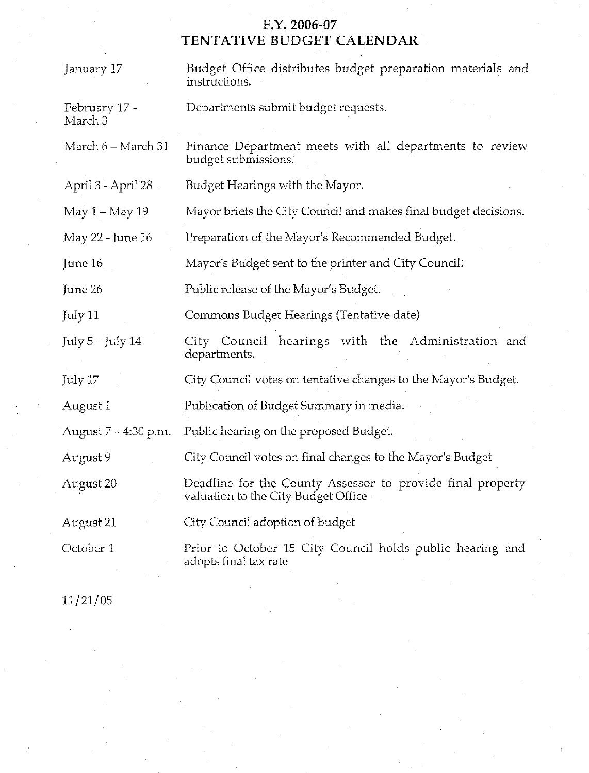# F.Y. 2006-07<br>TENTATIVE BUDGET CALENDAR

| January 17               | Budget Office distributes budget preparation materials and<br>instructions.                       |  |  |  |  |  |
|--------------------------|---------------------------------------------------------------------------------------------------|--|--|--|--|--|
| February 17 -<br>March 3 | Departments submit budget requests.                                                               |  |  |  |  |  |
| March 6 – March 31       | Finance Department meets with all departments to review<br>budget submissions.                    |  |  |  |  |  |
| April 3 - April 28       | Budget Hearings with the Mayor.                                                                   |  |  |  |  |  |
| May 1-May 19             | Mayor briefs the City Council and makes final budget decisions.                                   |  |  |  |  |  |
| May 22 - June 16         | Preparation of the Mayor's Recommended Budget.                                                    |  |  |  |  |  |
| June 16                  | Mayor's Budget sent to the printer and City Council.                                              |  |  |  |  |  |
| June 26                  | Public release of the Mayor's Budget.                                                             |  |  |  |  |  |
| July 11                  | Commons Budget Hearings (Tentative date)                                                          |  |  |  |  |  |
| July $5$ – July $14$     | City Council hearings with the Administration and<br>departments.                                 |  |  |  |  |  |
| July 17                  | City Council votes on tentative changes to the Mayor's Budget.                                    |  |  |  |  |  |
| August 1                 | Publication of Budget Summary in media.                                                           |  |  |  |  |  |
| August 7 - 4:30 p.m.     | Public hearing on the proposed Budget.                                                            |  |  |  |  |  |
| August 9                 | City Council votes on final changes to the Mayor's Budget                                         |  |  |  |  |  |
| August 20                | Deadline for the County Assessor to provide final property<br>valuation to the City Budget Office |  |  |  |  |  |
| August 21                | City Council adoption of Budget                                                                   |  |  |  |  |  |
| October 1                | Prior to October 15 City Council holds public hearing and<br>adopts final tax rate                |  |  |  |  |  |

 $11/21/05$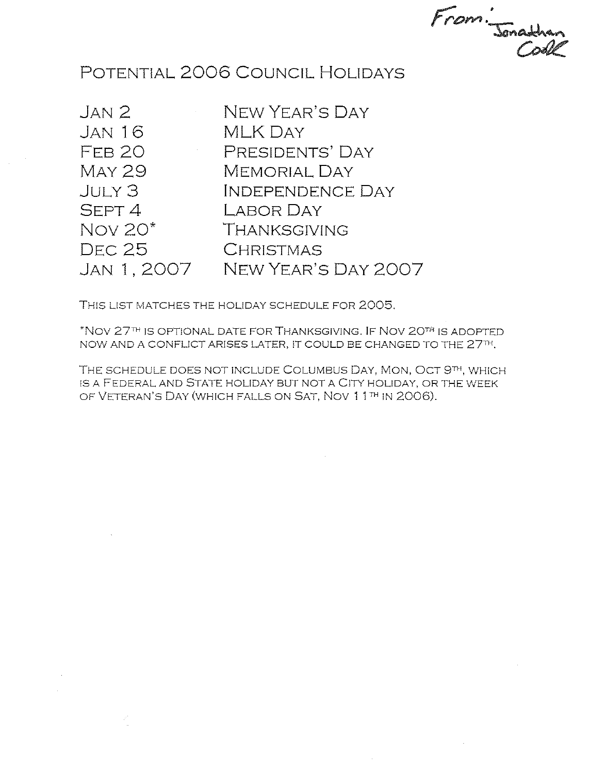From. Jonathan

### POTENTIAL 2006 COUNCIL HOLIDAYS

 $JAN<sub>2</sub>$ **JAN 16** FFB<sub>20</sub> **MAY 29** JUY3 SEPT 4 Nov 20\* **DEC 25** JAN 1, 2007

NEW YEAR'S DAY **MLK DAY** PRESIDENTS' DAY **MEMORIAL DAY INDEPENDENCE DAY** LABOR DAY THANKSGIVING **CHRISTMAS** NEW YEAR'S DAY 2007

THIS LIST MATCHES THE HOLIDAY SCHEDULE FOR 2005.

\*NOV 27TH IS OPTIONAL DATE FOR THANKSGIVING. IF NOV 20TH IS ADOPTED NOW AND A CONFLICT ARISES LATER, IT COULD BE CHANGED TO THE 27TH.

THE SCHEDULE DOES NOT INCLUDE COLUMBUS DAY, MON, OCT 9TH, WHICH IS A FEDERAL AND STATE HOLIDAY BUT NOT A CITY HOLIDAY, OR THE WEEK OF VETERAN'S DAY (WHICH FALLS ON SAT, NOV 11TH IN 2006).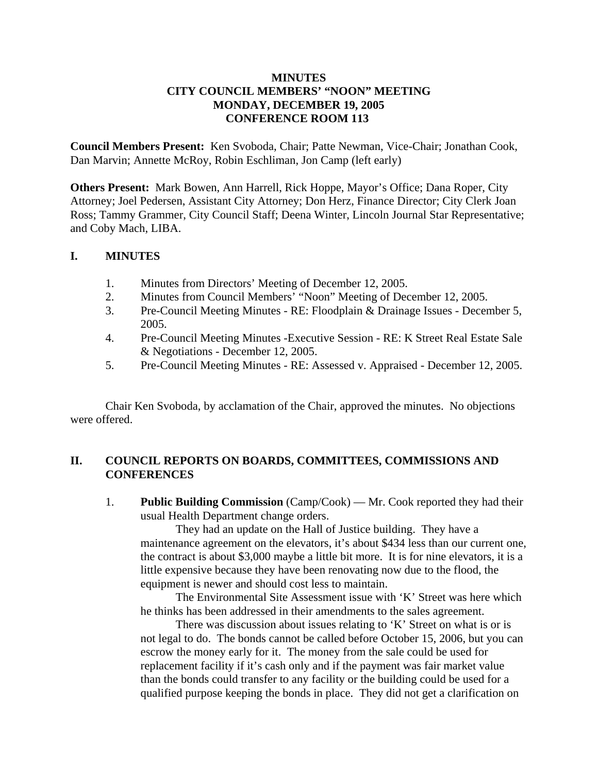#### **MINUTES CITY COUNCIL MEMBERS' "NOON" MEETING MONDAY, DECEMBER 19, 2005 CONFERENCE ROOM 113**

**Council Members Present:** Ken Svoboda, Chair; Patte Newman, Vice-Chair; Jonathan Cook, Dan Marvin; Annette McRoy, Robin Eschliman, Jon Camp (left early)

**Others Present:** Mark Bowen, Ann Harrell, Rick Hoppe, Mayor's Office; Dana Roper, City Attorney; Joel Pedersen, Assistant City Attorney; Don Herz, Finance Director; City Clerk Joan Ross; Tammy Grammer, City Council Staff; Deena Winter, Lincoln Journal Star Representative; and Coby Mach, LIBA.

#### **I. MINUTES**

- 1. Minutes from Directors' Meeting of December 12, 2005.
- 2. Minutes from Council Members' "Noon" Meeting of December 12, 2005.
- 3. Pre-Council Meeting Minutes RE: Floodplain & Drainage Issues December 5, 2005.
- 4. Pre-Council Meeting Minutes -Executive Session RE: K Street Real Estate Sale & Negotiations - December 12, 2005.
- 5. Pre-Council Meeting Minutes RE: Assessed v. Appraised December 12, 2005.

Chair Ken Svoboda, by acclamation of the Chair, approved the minutes. No objections were offered.

#### **II. COUNCIL REPORTS ON BOARDS, COMMITTEES, COMMISSIONS AND CONFERENCES**

1. **Public Building Commission** (Camp/Cook) — Mr. Cook reported they had their usual Health Department change orders.

They had an update on the Hall of Justice building. They have a maintenance agreement on the elevators, it's about \$434 less than our current one, the contract is about \$3,000 maybe a little bit more. It is for nine elevators, it is a little expensive because they have been renovating now due to the flood, the equipment is newer and should cost less to maintain.

The Environmental Site Assessment issue with 'K' Street was here which he thinks has been addressed in their amendments to the sales agreement.

There was discussion about issues relating to 'K' Street on what is or is not legal to do. The bonds cannot be called before October 15, 2006, but you can escrow the money early for it. The money from the sale could be used for replacement facility if it's cash only and if the payment was fair market value than the bonds could transfer to any facility or the building could be used for a qualified purpose keeping the bonds in place. They did not get a clarification on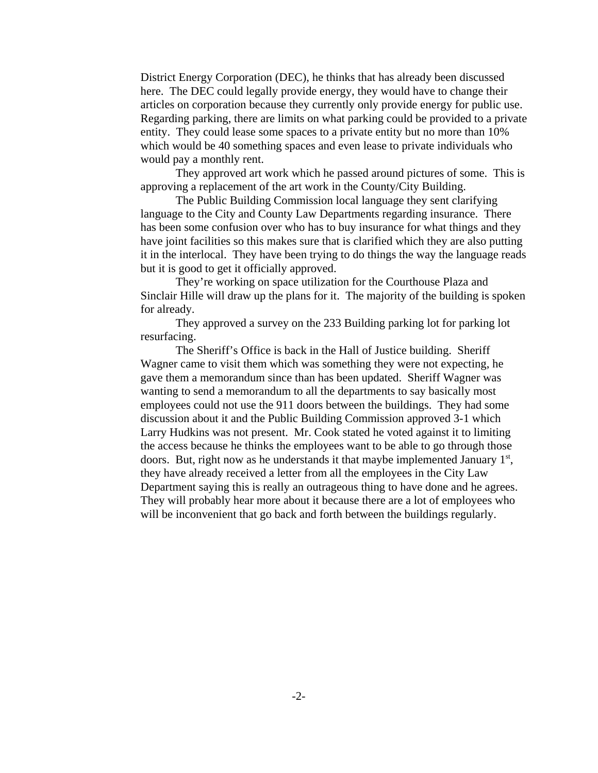District Energy Corporation (DEC), he thinks that has already been discussed here. The DEC could legally provide energy, they would have to change their articles on corporation because they currently only provide energy for public use. Regarding parking, there are limits on what parking could be provided to a private entity. They could lease some spaces to a private entity but no more than 10% which would be 40 something spaces and even lease to private individuals who would pay a monthly rent.

They approved art work which he passed around pictures of some. This is approving a replacement of the art work in the County/City Building.

The Public Building Commission local language they sent clarifying language to the City and County Law Departments regarding insurance. There has been some confusion over who has to buy insurance for what things and they have joint facilities so this makes sure that is clarified which they are also putting it in the interlocal. They have been trying to do things the way the language reads but it is good to get it officially approved.

They're working on space utilization for the Courthouse Plaza and Sinclair Hille will draw up the plans for it. The majority of the building is spoken for already.

They approved a survey on the 233 Building parking lot for parking lot resurfacing.

The Sheriff's Office is back in the Hall of Justice building. Sheriff Wagner came to visit them which was something they were not expecting, he gave them a memorandum since than has been updated. Sheriff Wagner was wanting to send a memorandum to all the departments to say basically most employees could not use the 911 doors between the buildings. They had some discussion about it and the Public Building Commission approved 3-1 which Larry Hudkins was not present. Mr. Cook stated he voted against it to limiting the access because he thinks the employees want to be able to go through those doors. But, right now as he understands it that maybe implemented January  $1<sup>st</sup>$ , they have already received a letter from all the employees in the City Law Department saying this is really an outrageous thing to have done and he agrees. They will probably hear more about it because there are a lot of employees who will be inconvenient that go back and forth between the buildings regularly.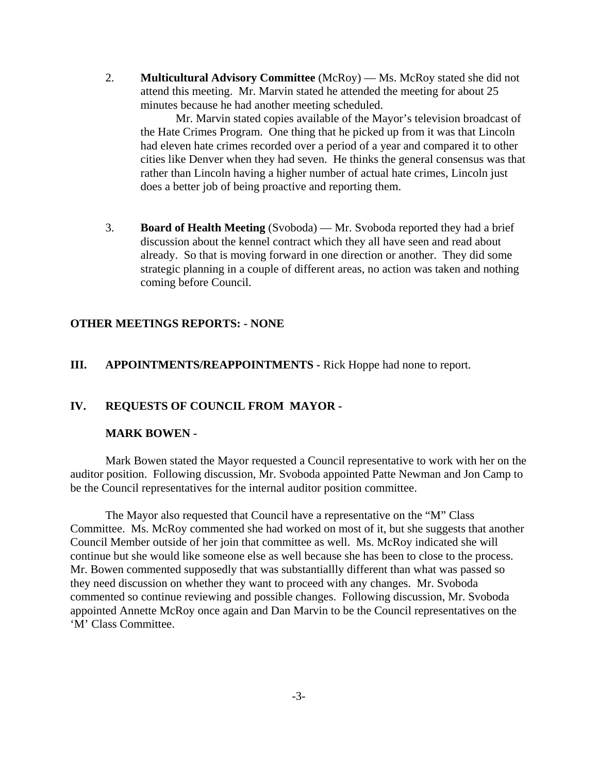2. **Multicultural Advisory Committee** (McRoy) — Ms. McRoy stated she did not attend this meeting. Mr. Marvin stated he attended the meeting for about 25 minutes because he had another meeting scheduled.

Mr. Marvin stated copies available of the Mayor's television broadcast of the Hate Crimes Program. One thing that he picked up from it was that Lincoln had eleven hate crimes recorded over a period of a year and compared it to other cities like Denver when they had seven. He thinks the general consensus was that rather than Lincoln having a higher number of actual hate crimes, Lincoln just does a better job of being proactive and reporting them.

3. **Board of Health Meeting** (Svoboda) — Mr. Svoboda reported they had a brief discussion about the kennel contract which they all have seen and read about already. So that is moving forward in one direction or another. They did some strategic planning in a couple of different areas, no action was taken and nothing coming before Council.

#### **OTHER MEETINGS REPORTS: - NONE**

#### **III. APPOINTMENTS/REAPPOINTMENTS -** Rick Hoppe had none to report.

#### **IV. REQUESTS OF COUNCIL FROM MAYOR -**

#### **MARK BOWEN -**

Mark Bowen stated the Mayor requested a Council representative to work with her on the auditor position. Following discussion, Mr. Svoboda appointed Patte Newman and Jon Camp to be the Council representatives for the internal auditor position committee.

The Mayor also requested that Council have a representative on the "M" Class Committee. Ms. McRoy commented she had worked on most of it, but she suggests that another Council Member outside of her join that committee as well. Ms. McRoy indicated she will continue but she would like someone else as well because she has been to close to the process. Mr. Bowen commented supposedly that was substantiallly different than what was passed so they need discussion on whether they want to proceed with any changes. Mr. Svoboda commented so continue reviewing and possible changes. Following discussion, Mr. Svoboda appointed Annette McRoy once again and Dan Marvin to be the Council representatives on the 'M' Class Committee.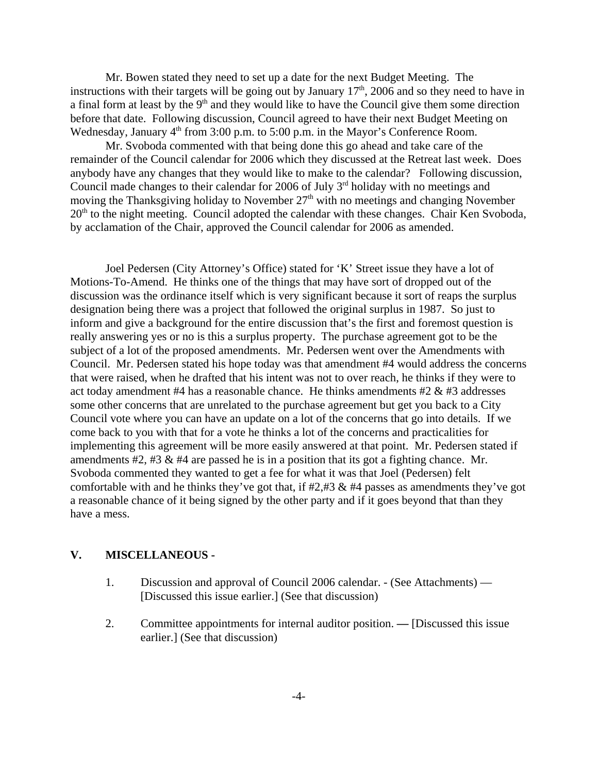Mr. Bowen stated they need to set up a date for the next Budget Meeting. The instructions with their targets will be going out by January  $17<sup>th</sup>$ , 2006 and so they need to have in a final form at least by the  $9<sup>th</sup>$  and they would like to have the Council give them some direction before that date. Following discussion, Council agreed to have their next Budget Meeting on Wednesday, January  $4<sup>th</sup>$  from 3:00 p.m. to 5:00 p.m. in the Mayor's Conference Room.

Mr. Svoboda commented with that being done this go ahead and take care of the remainder of the Council calendar for 2006 which they discussed at the Retreat last week. Does anybody have any changes that they would like to make to the calendar? Following discussion, Council made changes to their calendar for 2006 of July 3<sup>rd</sup> holiday with no meetings and moving the Thanksgiving holiday to November  $27<sup>th</sup>$  with no meetings and changing November  $20<sup>th</sup>$  to the night meeting. Council adopted the calendar with these changes. Chair Ken Svoboda, by acclamation of the Chair, approved the Council calendar for 2006 as amended.

Joel Pedersen (City Attorney's Office) stated for 'K' Street issue they have a lot of Motions-To-Amend. He thinks one of the things that may have sort of dropped out of the discussion was the ordinance itself which is very significant because it sort of reaps the surplus designation being there was a project that followed the original surplus in 1987. So just to inform and give a background for the entire discussion that's the first and foremost question is really answering yes or no is this a surplus property. The purchase agreement got to be the subject of a lot of the proposed amendments. Mr. Pedersen went over the Amendments with Council. Mr. Pedersen stated his hope today was that amendment #4 would address the concerns that were raised, when he drafted that his intent was not to over reach, he thinks if they were to act today amendment #4 has a reasonable chance. He thinks amendments #2  $\&$  #3 addresses some other concerns that are unrelated to the purchase agreement but get you back to a City Council vote where you can have an update on a lot of the concerns that go into details. If we come back to you with that for a vote he thinks a lot of the concerns and practicalities for implementing this agreement will be more easily answered at that point. Mr. Pedersen stated if amendments #2, #3 & #4 are passed he is in a position that its got a fighting chance. Mr. Svoboda commented they wanted to get a fee for what it was that Joel (Pedersen) felt comfortable with and he thinks they've got that, if  $\#2, \#3 \& \#4$  passes as amendments they've got a reasonable chance of it being signed by the other party and if it goes beyond that than they have a mess.

#### **V. MISCELLANEOUS -**

- 1. Discussion and approval of Council 2006 calendar. (See Attachments) [Discussed this issue earlier.] (See that discussion)
- 2. Committee appointments for internal auditor position.[Discussed this issue earlier.] (See that discussion)